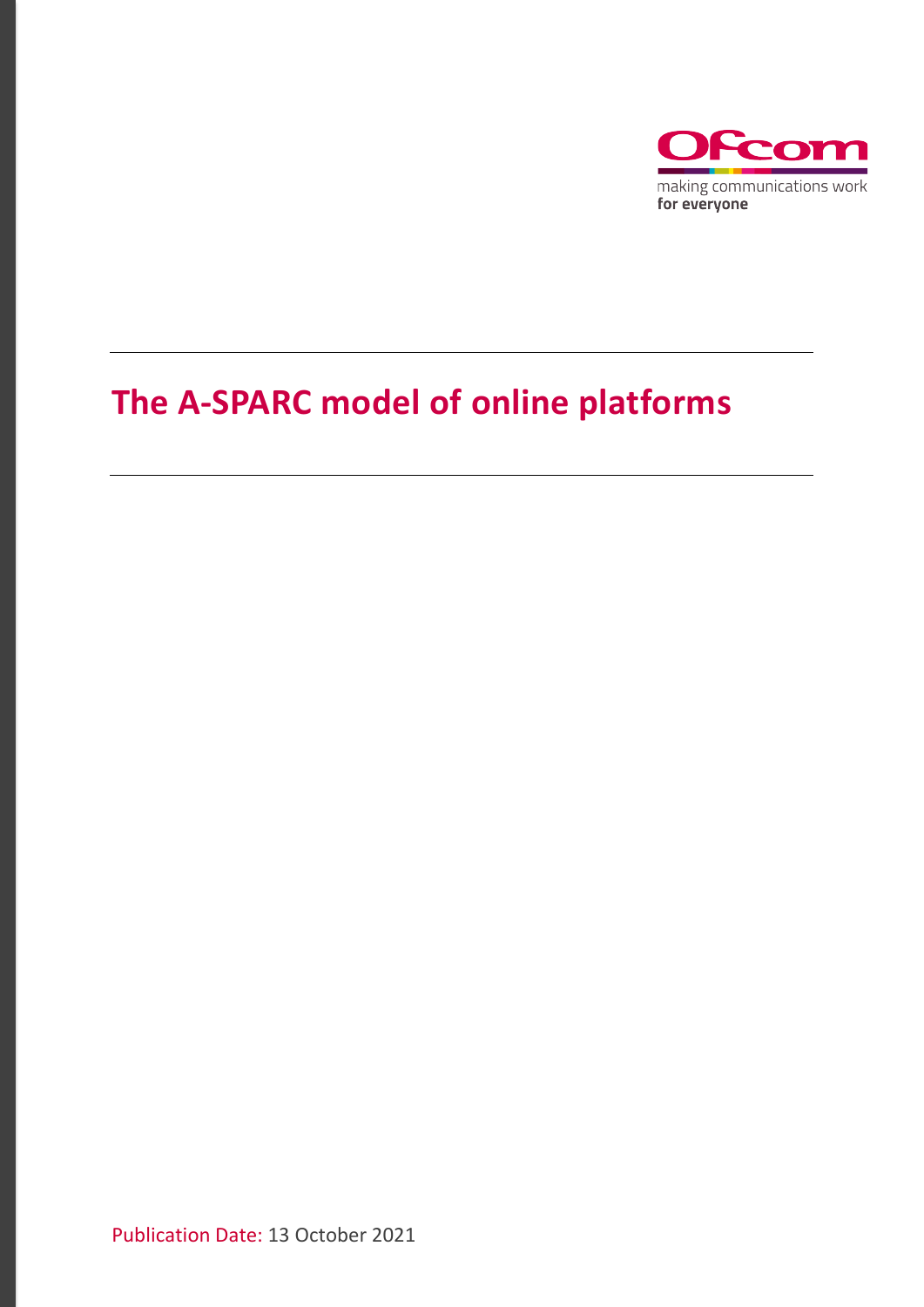

## The A-SPARC model of online platforms

Publication Date: 13 October 2021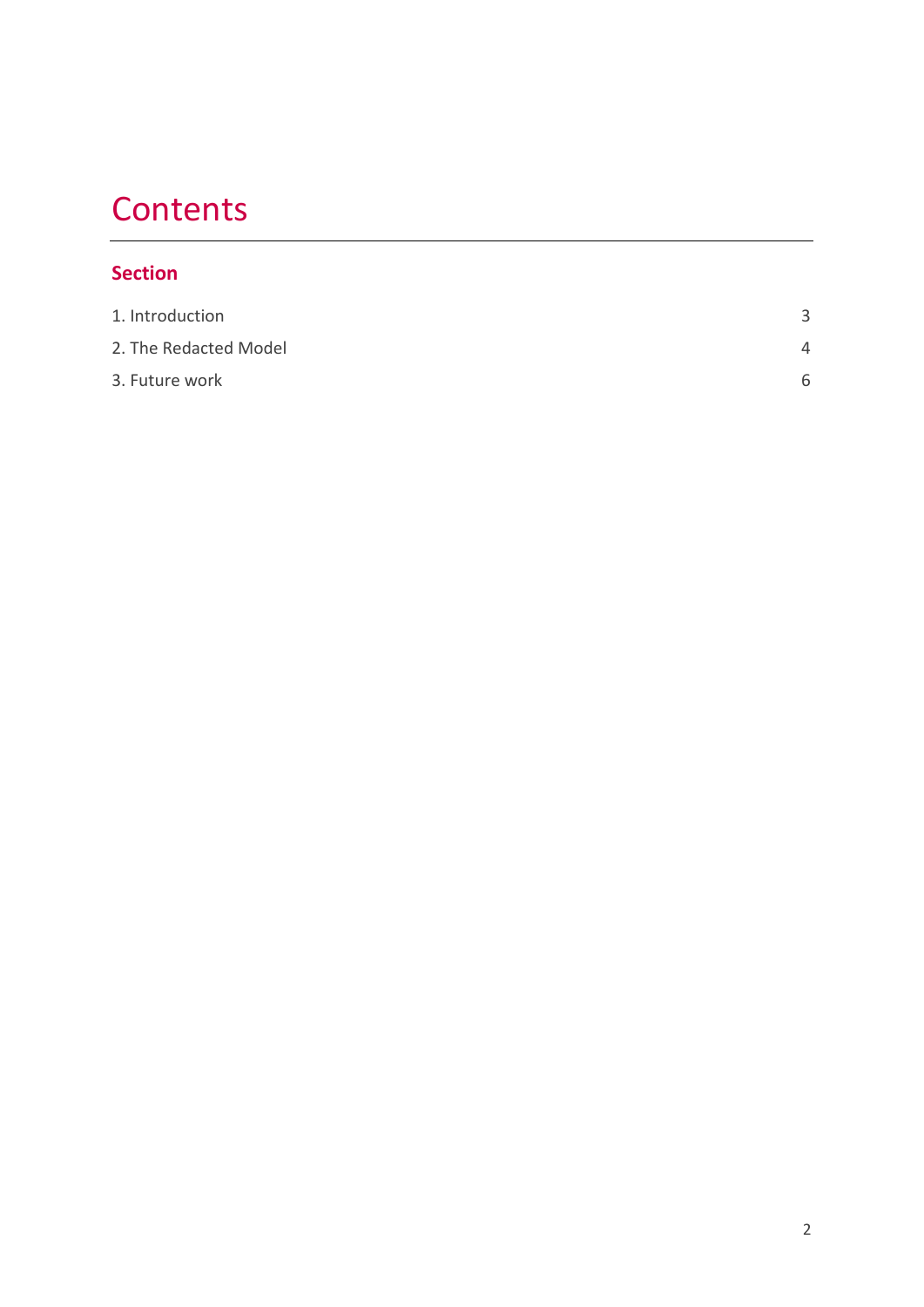# **Contents**

#### **Section**

| 1. Introduction       | 3 |
|-----------------------|---|
| 2. The Redacted Model | 4 |
| 3. Future work        | 6 |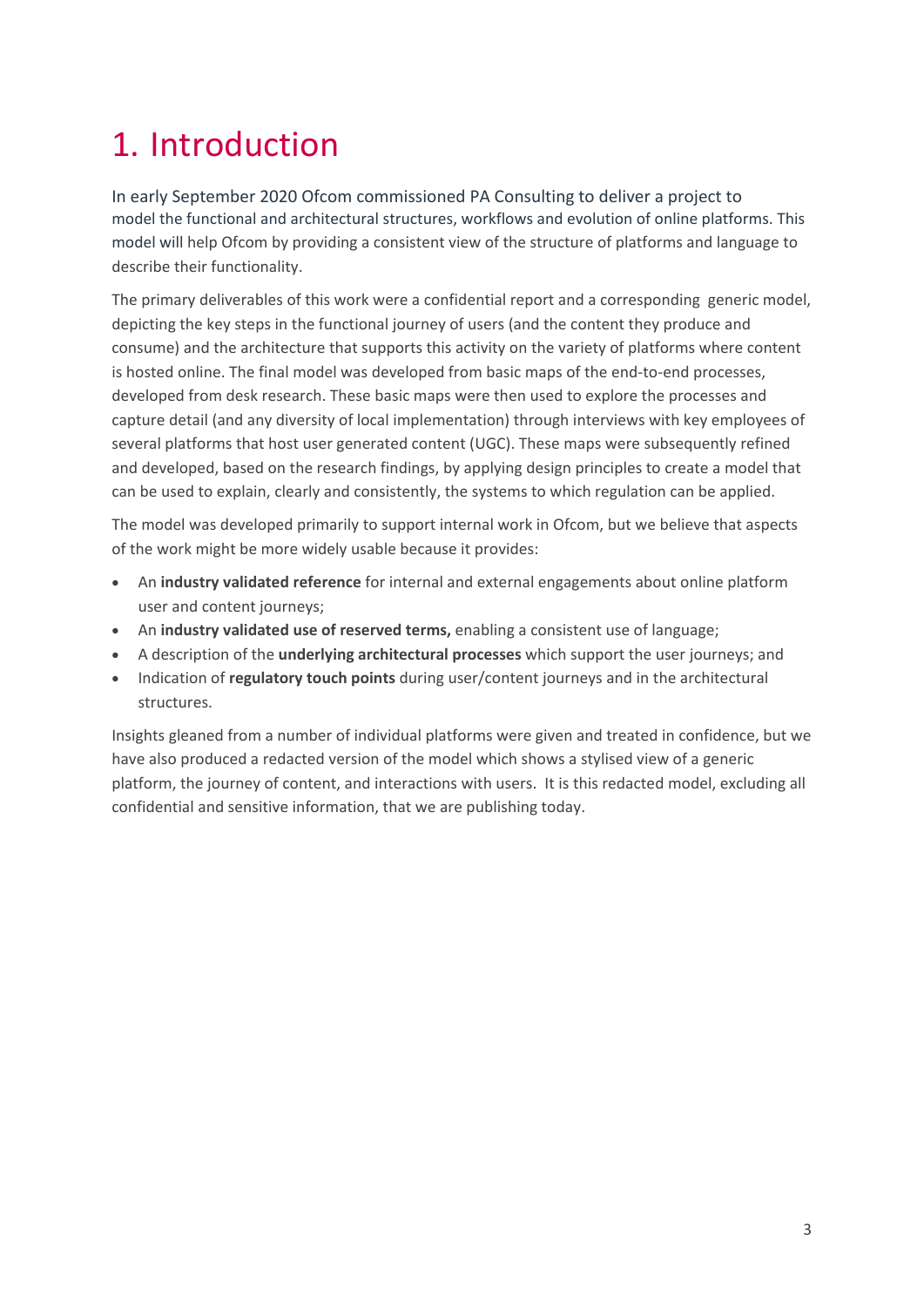# <span id="page-2-0"></span>1. Introduction

In early September 2020 Ofcom commissioned PA Consulting to deliver a project to model the functional and architectural structures, workflows and evolution of online platforms. This model will help Ofcom by providing a consistent view of the structure of platforms and language to describe their functionality.

The primary deliverables of this work were a confidential report and a corresponding generic model, depicting the key steps in the functional journey of users (and the content they produce and consume) and the architecture that supports this activity on the variety of platforms where content is hosted online. The final model was developed from basic maps of the end-to-end processes, developed from desk research. These basic maps were then used to explore the processes and capture detail (and any diversity of local implementation) through interviews with key employees of several platforms that host user generated content (UGC). These maps were subsequently refined and developed, based on the research findings, by applying design principles to create a model that can be used to explain, clearly and consistently, the systems to which regulation can be applied.

The model was developed primarily to support internal work in Ofcom, but we believe that aspects of the work might be more widely usable because it provides:

- An **industry validated reference** for internal and external engagements about online platform user and content journeys;
- An **industry validated use of reserved terms,** enabling a consistent use of language;
- A description of the **underlying architectural processes** which support the user journeys; and
- Indication of **regulatory touch points** during user/content journeys and in the architectural structures.

Insights gleaned from a number of individual platforms were given and treated in confidence, but we have also produced a redacted version of the model which shows a stylised view of a generic platform, the journey of content, and interactions with users. It is this redacted model, excluding all confidential and sensitive information, that we are publishing today.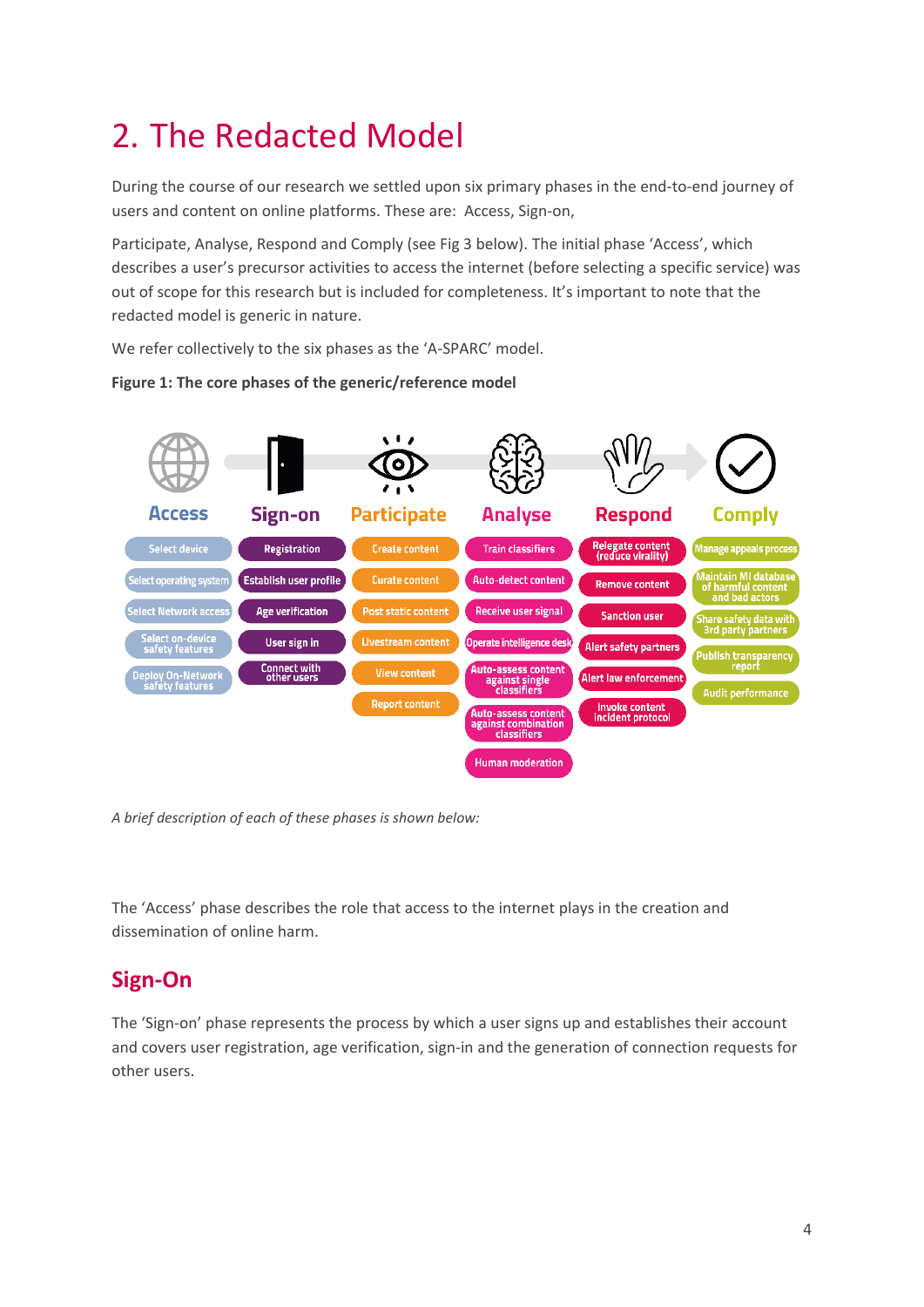# <span id="page-3-0"></span>2. The Redacted Model

During the course of our research we settled upon six primary phases in the end-to-end journey of users and content on online platforms. These are: Access, Sign-on,

Participate, Analyse, Respond and Comply (see Fig 3 below). The initial phase 'Access', which describes a user's precursor activities to access the internet (before selecting a specific service) was out of scope for this research but is included for completeness. It's important to note that the redacted model is generic in nature.

We refer collectively to the six phases as the 'A-SPARC' model.



#### **Figure 1: The core phases of the generic/reference model**

*A brief description of each of these phases is shown below:* 

The 'Access' phase describes the role that access to the internet plays in the creation and dissemination of online harm.

### **Sign-On**

The 'Sign-on' phase represents the process by which a user signs up and establishes their account and covers user registration, age verification, sign-in and the generation of connection requests for other users.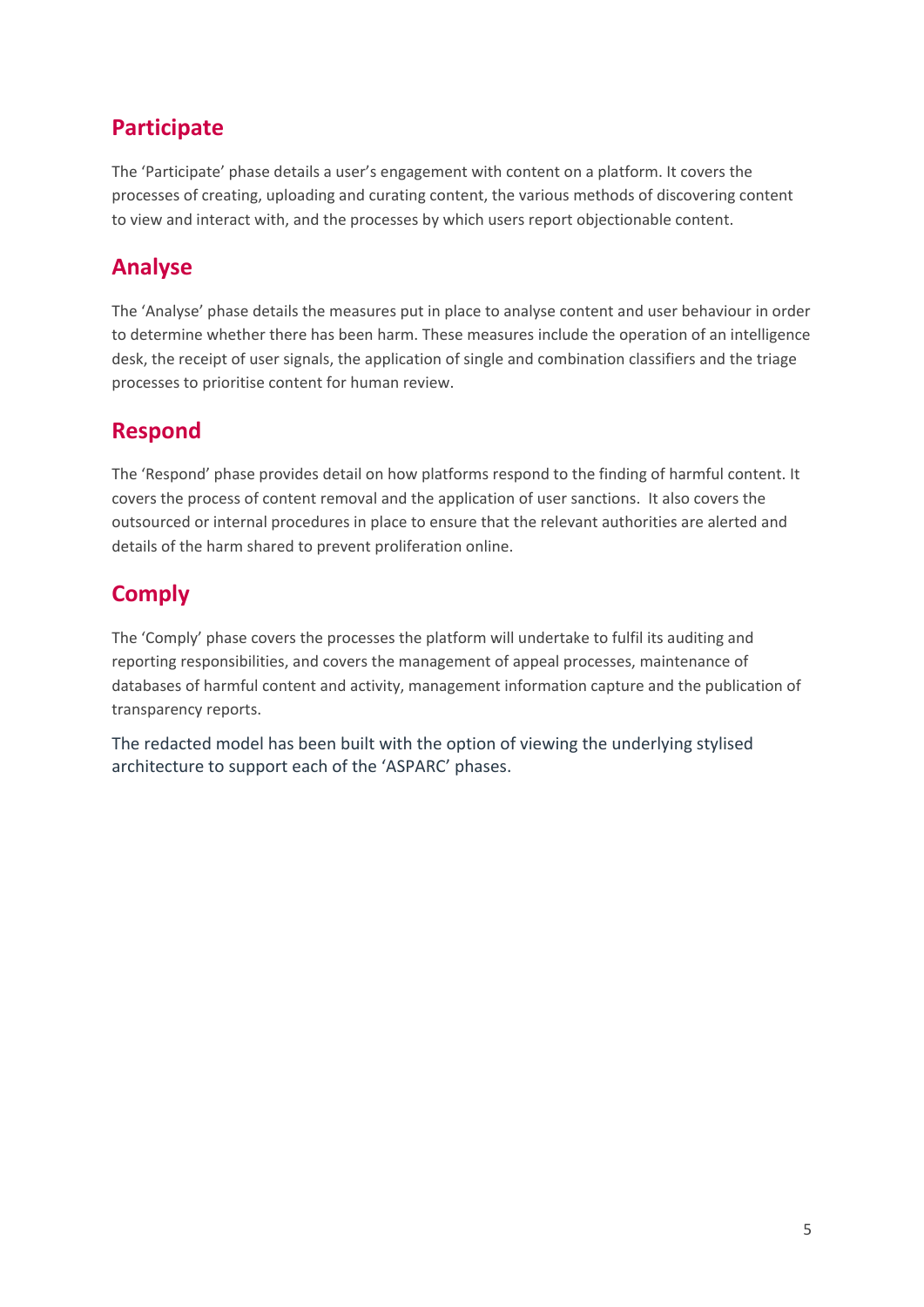### **Participate**

The 'Participate' phase details a user's engagement with content on a platform. It covers the processes of creating, uploading and curating content, the various methods of discovering content to view and interact with, and the processes by which users report objectionable content.

### **Analyse**

The 'Analyse' phase details the measures put in place to analyse content and user behaviour in order to determine whether there has been harm. These measures include the operation of an intelligence desk, the receipt of user signals, the application of single and combination classifiers and the triage processes to prioritise content for human review.

#### **Respond**

The 'Respond' phase provides detail on how platforms respond to the finding of harmful content. It covers the process of content removal and the application of user sanctions. It also covers the outsourced or internal procedures in place to ensure that the relevant authorities are alerted and details of the harm shared to prevent proliferation online.

### **Comply**

The 'Comply' phase covers the processes the platform will undertake to fulfil its auditing and reporting responsibilities, and covers the management of appeal processes, maintenance of databases of harmful content and activity, management information capture and the publication of transparency reports.

The redacted model has been built with the option of viewing the underlying stylised architecture to support each of the 'ASPARC' phases.